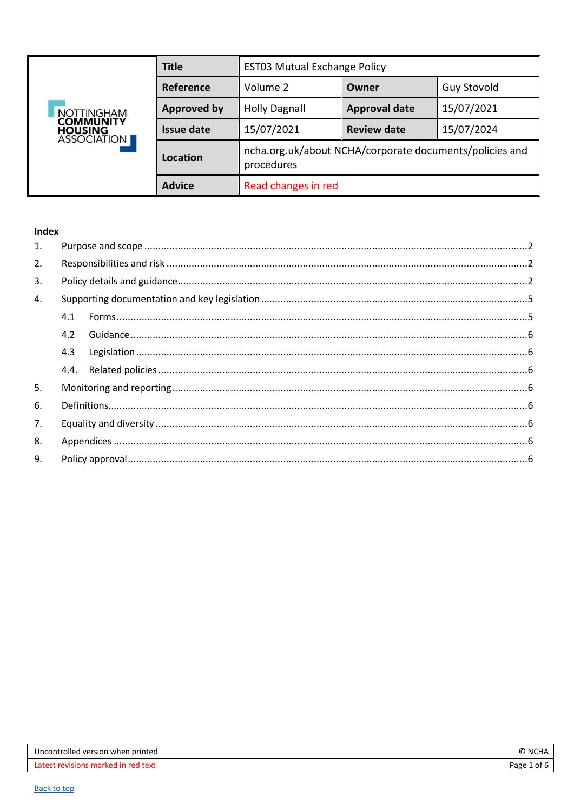<span id="page-0-0"></span>

| <b>NOTTINGHAM</b><br><b>COMMUNITY</b><br><b>HOUSING</b><br>ASSOCIATION | <b>Title</b>       | <b>EST03 Mutual Exchange Policy</b>                                   |                      |                    |
|------------------------------------------------------------------------|--------------------|-----------------------------------------------------------------------|----------------------|--------------------|
|                                                                        | Reference          | Volume 2                                                              | Owner                | <b>Guy Stovold</b> |
|                                                                        | <b>Approved by</b> | <b>Holly Dagnall</b>                                                  | <b>Approval date</b> | 15/07/2021         |
|                                                                        | <b>Issue date</b>  | 15/07/2021                                                            | <b>Review date</b>   | 15/07/2024         |
|                                                                        | Location           | ncha.org.uk/about NCHA/corporate documents/policies and<br>procedures |                      |                    |
|                                                                        | <b>Advice</b>      | Read changes in red                                                   |                      |                    |

### Index

| 1. |     |  |
|----|-----|--|
| 2. |     |  |
| 3. |     |  |
| 4. |     |  |
|    | 4.1 |  |
|    | 4.2 |  |
|    | 4.3 |  |
|    |     |  |
| 5. |     |  |
| 6. |     |  |
| 7. |     |  |
| 8. |     |  |
| 9. |     |  |
|    |     |  |

| Uncontrolled version when printed   | NCHA        |
|-------------------------------------|-------------|
| Latest revisions marked in red text | Page 1 of 6 |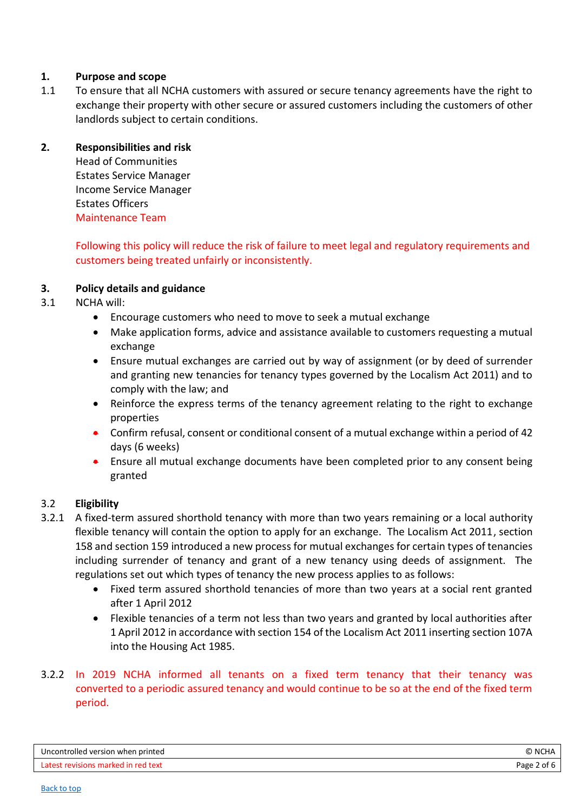## <span id="page-1-0"></span>**1. Purpose and scope**

1.1 To ensure that all NCHA customers with assured or secure tenancy agreements have the right to exchange their property with other secure or assured customers including the customers of other landlords subject to certain conditions.

### <span id="page-1-1"></span>**2. Responsibilities and risk**

Head of Communities Estates Service Manager Income Service Manager Estates Officers Maintenance Team

Following this policy will reduce the risk of failure to meet legal and regulatory requirements and customers being treated unfairly or inconsistently.

### <span id="page-1-2"></span>**3. Policy details and guidance**

- 3.1 NCHA will:
	- Encourage customers who need to move to seek a mutual exchange
	- Make application forms, advice and assistance available to customers requesting a mutual exchange
	- Ensure mutual exchanges are carried out by way of assignment (or by deed of surrender and granting new tenancies for tenancy types governed by the Localism Act 2011) and to comply with the law; and
	- Reinforce the express terms of the tenancy agreement relating to the right to exchange properties
	- Confirm refusal, consent or conditional consent of a mutual exchange within a period of 42 days (6 weeks)
	- Ensure all mutual exchange documents have been completed prior to any consent being granted

### 3.2 **Eligibility**

- 3.2.1 A fixed-term assured shorthold tenancy with more than two years remaining or a local authority flexible tenancy will contain the option to apply for an exchange. The Localism Act 2011, section 158 and section 159 introduced a new process for mutual exchanges for certain types of tenancies including surrender of tenancy and grant of a new tenancy using deeds of assignment. The regulations set out which types of tenancy the new process applies to as follows:
	- Fixed term assured shorthold tenancies of more than two years at a social rent granted after 1 April 2012
	- Flexible tenancies of a term not less than two years and granted by local authorities after 1 April 2012 in accordance with section 154 of the Localism Act 2011 inserting section 107A into the Housing Act 1985.

## 3.2.2 In 2019 NCHA informed all tenants on a fixed term tenancy that their tenancy was converted to a periodic assured tenancy and would continue to be so at the end of the fixed term period.

| Uncontrolled version when printed   | © NCHA         |
|-------------------------------------|----------------|
| Latest revisions marked in red text | Page<br>' of L |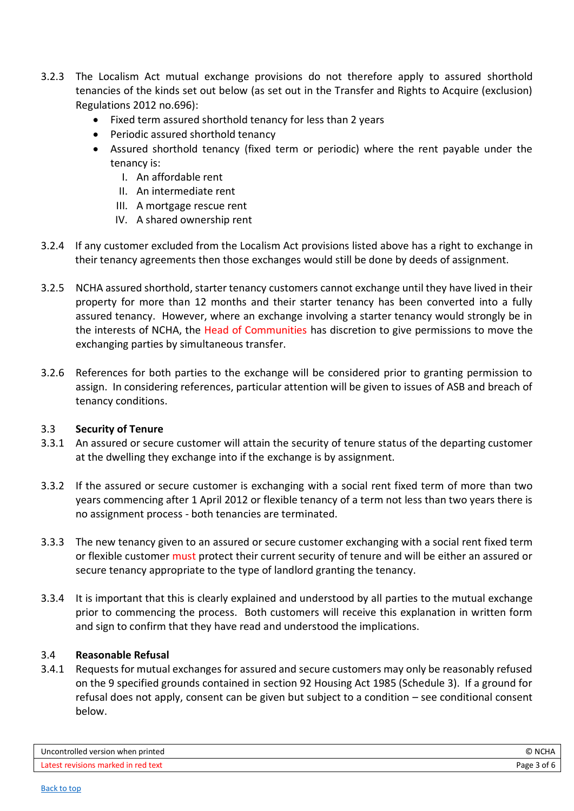- 3.2.3 The Localism Act mutual exchange provisions do not therefore apply to assured shorthold tenancies of the kinds set out below (as set out in the Transfer and Rights to Acquire (exclusion) Regulations 2012 no.696):
	- Fixed term assured shorthold tenancy for less than 2 years
	- Periodic assured shorthold tenancy
	- Assured shorthold tenancy (fixed term or periodic) where the rent payable under the tenancy is:
		- I. An affordable rent
		- II. An intermediate rent
		- III. A mortgage rescue rent
		- IV. A shared ownership rent
- 3.2.4 If any customer excluded from the Localism Act provisions listed above has a right to exchange in their tenancy agreements then those exchanges would still be done by deeds of assignment.
- 3.2.5 NCHA assured shorthold, starter tenancy customers cannot exchange until they have lived in their property for more than 12 months and their starter tenancy has been converted into a fully assured tenancy. However, where an exchange involving a starter tenancy would strongly be in the interests of NCHA, the Head of Communities has discretion to give permissions to move the exchanging parties by simultaneous transfer.
- 3.2.6 References for both parties to the exchange will be considered prior to granting permission to assign. In considering references, particular attention will be given to issues of ASB and breach of tenancy conditions.

#### 3.3 **Security of Tenure**

- 3.3.1 An assured or secure customer will attain the security of tenure status of the departing customer at the dwelling they exchange into if the exchange is by assignment.
- 3.3.2 If the assured or secure customer is exchanging with a social rent fixed term of more than two years commencing after 1 April 2012 or flexible tenancy of a term not less than two years there is no assignment process - both tenancies are terminated.
- 3.3.3 The new tenancy given to an assured or secure customer exchanging with a social rent fixed term or flexible customer must protect their current security of tenure and will be either an assured or secure tenancy appropriate to the type of landlord granting the tenancy.
- 3.3.4 It is important that this is clearly explained and understood by all parties to the mutual exchange prior to commencing the process. Both customers will receive this explanation in written form and sign to confirm that they have read and understood the implications.

#### 3.4 **Reasonable Refusal**

3.4.1 Requests for mutual exchanges for assured and secure customers may only be reasonably refused on the 9 specified grounds contained in section 92 Housing Act 1985 (Schedule 3). If a ground for refusal does not apply, consent can be given but subject to a condition – see conditional consent below.

| Uncontrolled version when printed   | © N <i>C</i> ′ |
|-------------------------------------|----------------|
| Latest revisions marked in red text | Page 3 of 6    |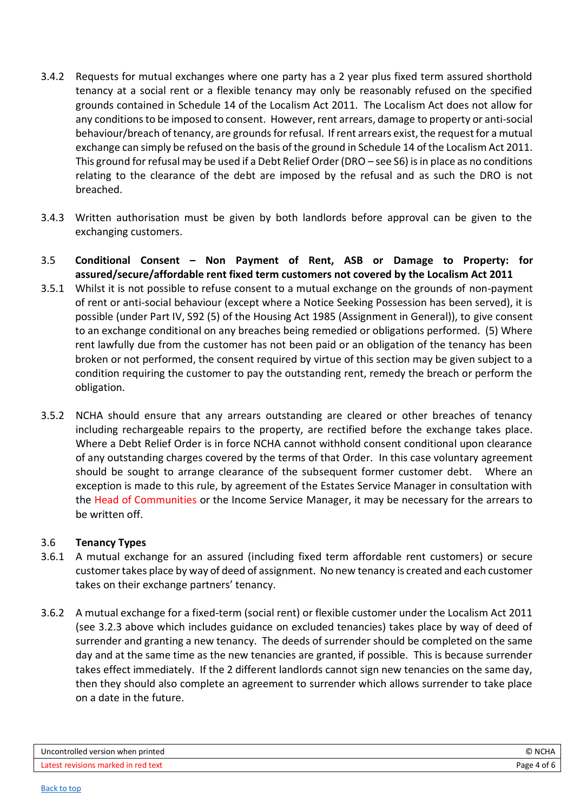- 3.4.2 Requests for mutual exchanges where one party has a 2 year plus fixed term assured shorthold tenancy at a social rent or a flexible tenancy may only be reasonably refused on the specified grounds contained in Schedule 14 of the Localism Act 2011. The Localism Act does not allow for any conditions to be imposed to consent. However, rent arrears, damage to property or anti-social behaviour/breach of tenancy, are grounds for refusal. If rent arrears exist, the request for a mutual exchange can simply be refused on the basis of the ground in Schedule 14 of the Localism Act 2011. This ground for refusal may be used if a Debt Relief Order (DRO – see S6) is in place as no conditions relating to the clearance of the debt are imposed by the refusal and as such the DRO is not breached.
- 3.4.3 Written authorisation must be given by both landlords before approval can be given to the exchanging customers.
- 3.5 **Conditional Consent – Non Payment of Rent, ASB or Damage to Property: for assured/secure/affordable rent fixed term customers not covered by the Localism Act 2011**
- 3.5.1 Whilst it is not possible to refuse consent to a mutual exchange on the grounds of non-payment of rent or anti-social behaviour (except where a Notice Seeking Possession has been served), it is possible (under Part IV, S92 (5) of the Housing Act 1985 (Assignment in General)), to give consent to an exchange conditional on any breaches being remedied or obligations performed. (5) Where rent lawfully due from the customer has not been paid or an obligation of the tenancy has been broken or not performed, the consent required by virtue of this section may be given subject to a condition requiring the customer to pay the outstanding rent, remedy the breach or perform the obligation.
- 3.5.2 NCHA should ensure that any arrears outstanding are cleared or other breaches of tenancy including rechargeable repairs to the property, are rectified before the exchange takes place. Where a Debt Relief Order is in force NCHA cannot withhold consent conditional upon clearance of any outstanding charges covered by the terms of that Order. In this case voluntary agreement should be sought to arrange clearance of the subsequent former customer debt. Where an exception is made to this rule, by agreement of the Estates Service Manager in consultation with the Head of Communities or the Income Service Manager, it may be necessary for the arrears to be written off.

### 3.6 **Tenancy Types**

- 3.6.1 A mutual exchange for an assured (including fixed term affordable rent customers) or secure customer takes place by way of deed of assignment. No new tenancy is created and each customer takes on their exchange partners' tenancy.
- 3.6.2 A mutual exchange for a fixed-term (social rent) or flexible customer under the Localism Act 2011 (see 3.2.3 above which includes guidance on excluded tenancies) takes place by way of deed of surrender and granting a new tenancy. The deeds of surrender should be completed on the same day and at the same time as the new tenancies are granted, if possible. This is because surrender takes effect immediately. If the 2 different landlords cannot sign new tenancies on the same day, then they should also complete an agreement to surrender which allows surrender to take place on a date in the future.

| Uncontrolled version when printed   | Νſ   |
|-------------------------------------|------|
| Latest revisions marked in red text | Page |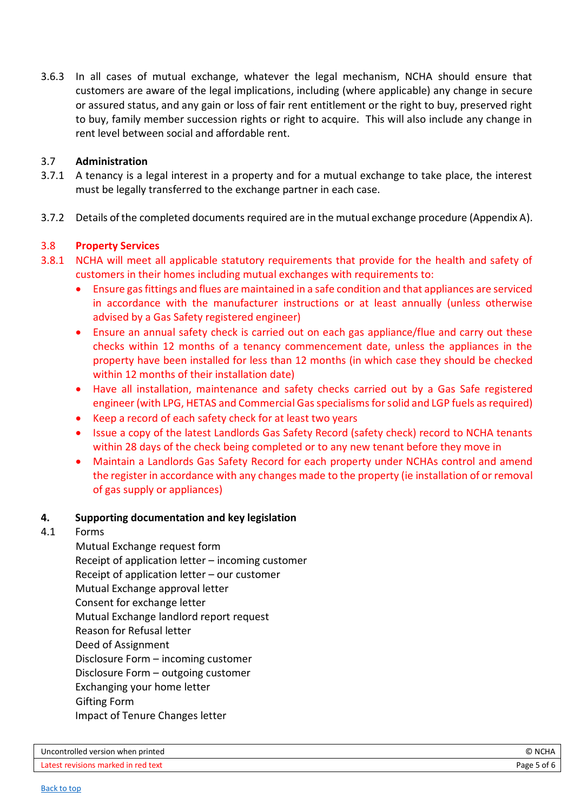3.6.3 In all cases of mutual exchange, whatever the legal mechanism, NCHA should ensure that customers are aware of the legal implications, including (where applicable) any change in secure or assured status, and any gain or loss of fair rent entitlement or the right to buy, preserved right to buy, family member succession rights or right to acquire. This will also include any change in rent level between social and affordable rent.

#### 3.7 **Administration**

- 3.7.1 A tenancy is a legal interest in a property and for a mutual exchange to take place, the interest must be legally transferred to the exchange partner in each case.
- 3.7.2 Details of the completed documents required are in the mutual exchange procedure (Appendix A).

### 3.8 **Property Services**

- 3.8.1 NCHA will meet all applicable statutory requirements that provide for the health and safety of customers in their homes including mutual exchanges with requirements to:
	- Ensure gas fittings and flues are maintained in a safe condition and that appliances are serviced in accordance with the manufacturer instructions or at least annually (unless otherwise advised by a Gas Safety registered engineer)
	- Ensure an annual safety check is carried out on each gas appliance/flue and carry out these checks within 12 months of a tenancy commencement date, unless the appliances in the property have been installed for less than 12 months (in which case they should be checked within 12 months of their installation date)
	- Have all installation, maintenance and safety checks carried out by a Gas Safe registered engineer (with LPG, HETAS and Commercial Gas specialisms for solid and LGP fuels as required)
	- Keep a record of each safety check for at least two years
	- Issue a copy of the latest Landlords Gas Safety Record (safety check) record to NCHA tenants within 28 days of the check being completed or to any new tenant before they move in
	- Maintain a Landlords Gas Safety Record for each property under NCHAs control and amend the register in accordance with any changes made to the property (ie installation of or removal of gas supply or appliances)

#### <span id="page-4-0"></span>**4. Supporting documentation and key legislation**

#### <span id="page-4-1"></span>4.1 Forms

Mutual Exchange request form Receipt of application letter – incoming customer Receipt of application letter – our customer Mutual Exchange approval letter Consent for exchange letter Mutual Exchange landlord report request Reason for Refusal letter Deed of Assignment Disclosure Form – incoming customer Disclosure Form – outgoing customer Exchanging your home letter Gifting Form Impact of Tenure Changes letter

| Uncontrolled version when printed   | O NCHA      |
|-------------------------------------|-------------|
| Latest revisions marked in red text | Page 5 of 6 |